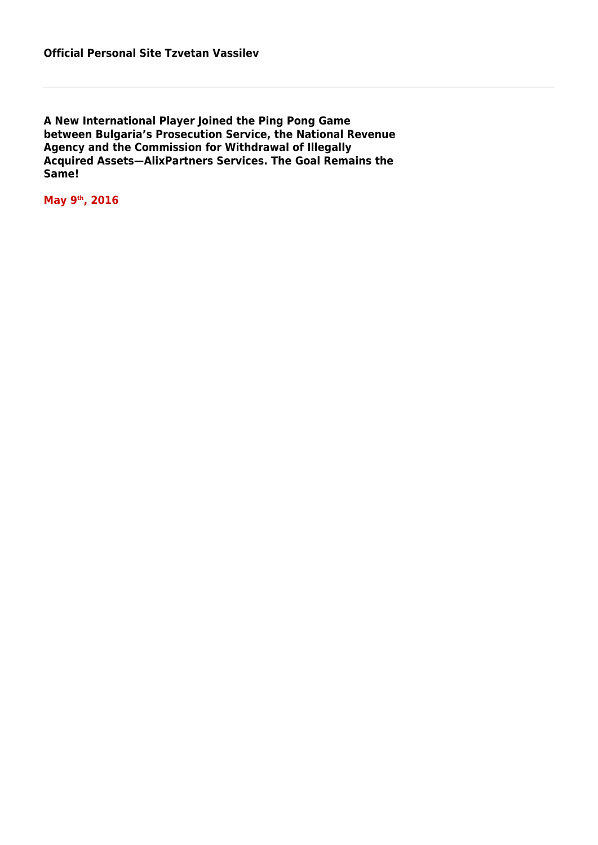**A New International Player Joined the Ping Pong Game between Bulgaria's Prosecution Service, the National Revenue Agency and the Commission for Withdrawal of Illegally Acquired Assets—AlixPartners Services. The Goal Remains the Same!** 

**May 9th, 2016**